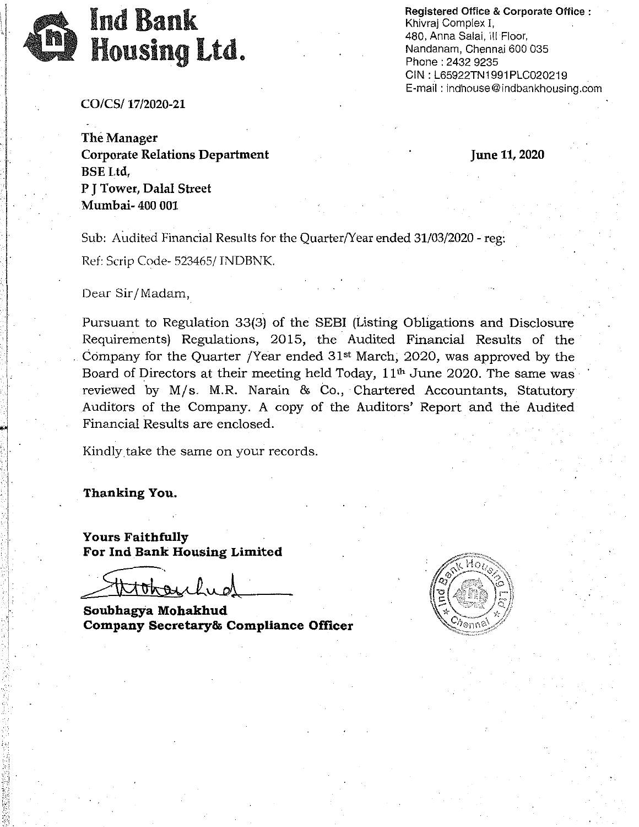

Registered Office & Corporate Office: Khivraj Complex I, 480, Anna Salai, III·Floor, Nandanam, Chennai 600 035 Phone: 2432 9235 CIN: L65922TN1991PLC020219 E-mail: indhouse@indbankhousing.com

*CO/CS/17/2020-21*

The Manager Corporate Relations Department BSE Ltd, P J Tower, Dalal Street Mumbai- 400 001

June 11, 2020

Sub: Audited Financial Results for the Quarter/Year ended 31/03/2020 - reg:

Ref: Scrip Code- 523465/ INDBNK.

Dear Sir/Madam,

·1

 $\cdot$  1  $\mathbf{I}$ j

 $\frac{1}{2}$ 

Pursuant to Regulation 33(3) of the SEBI (Listing Obligations and Disclosure Requirements) Regulations, 2015, the Audited Financial Results of the Company for the Quarter jYear ended 31st March, 2020, was approved by the Board of Directors at their meeting held Today, 11<sup>th</sup> June 2020. The same was reviewed by M/s. M.R. Narain & Co., Chartered Accountants, Statutory Auditors of the Company. A copy of the Auditors' Report and the Audited Financial Results are enclosed.

Kindly take the same on your records.

Thanking You.

Yours Faithfully For Ind Bank Housing Limited

 $\lambda$  in the  $\lambda$ 

Soubhagya Mohakhud Company Secretary& Compliance Officer

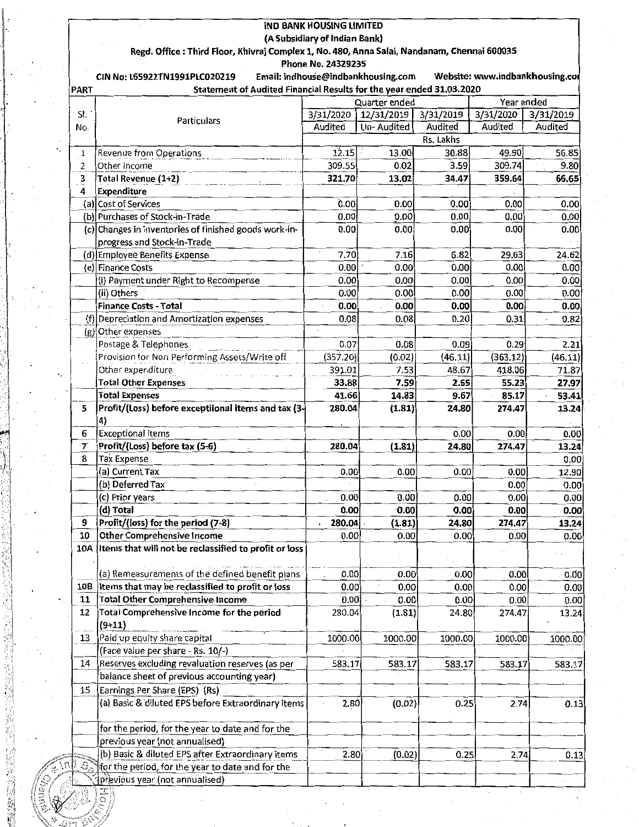#### IND BANK HOUSING LIMITED (A Subsidiary of Indian Bank)

#### Regd. Office: Third Floor, Khivraj Complex 1, No. 480, Anna Salai, Nandanam, Chennai 600035

Phone No. 24329235

".'

CIN No: L65922TN1991PLC020219 Email: indhouse@indbankhousing.com Website: www.indbankhousing.co PART Statement of Audited Financial Results for the year ended 31.03.2020

Quarter ended Vear ended '.;'.",. 3/31/2020 1 3/31/201!?  $\frac{1}{3}$ SI.<br>No. 3/31/2020 3/31/2019<br>Audited Audited Audited I Un- Audited I Audited Particulars Audited<br>Rs. Lakhs *<sup>z</sup> i '* 1 ~evenue fr()\_m.gp~~a\_t:~~n~ ..\_\_ ..... ...*\_li}~~ 1\_3\_.0\_0* \_}0.8 \_\_8\_j~ ---;.\_ 49.90 56.85 2 Other Income 309.55 0.02 3.59  $309.74$   $9.80$ 3 !otal Re~~nu~\_j1+~ . ...\_\_ .\_ ..\_. \_\_.\_\_ .\_\_ -=-3\_21\_.-'--70+.\_\_ -=-13\_:\_:•..::\_02=t-\_\_ -=-34\_.\_:\_47+\_ \_\_\_:.\_\_;\_c\_\_:....:.1 \_=\_\_=\_ 3 Total Revent<br>4 Expenditure 66.65 (a) Cost of Services 0.00· 0\_00 0.00 (a) Cost of Services<br>
(b). Purchases of Stock-in-Trade 0.00 0.00 0.00 0.00 0.00 0.00 0.00 0.00 0.00 0.00  $0.00$  0.00 0.00 (c) Changes in inventories of finished goods work-in-  $0.00$  0.00 \_\_ progress and Stock-in-Trade  $72$   $716$   $792$   $792$   $792$   $792$   $792$   $792$   $792$   $792$   $792$   $792$   $792$   $792$   $792$   $792$   $792$   $792$   $792$   $792$   $792$   $792$   $792$   $792$   $792$   $792$   $792$   $792$   $792$   $792$   $792$   $792$   $792$   $792$   $792$   $792$   $792$  (d) Employee Benefits Expense  $0.00$  0.00 0.00 0.00 0.00 (e) Finance Costs  $0.00$  0.00 0.00 0.00 0.00 (i) Payment under Right to Recompense  $\frac{0.00}{0.00}$  $0.00$  0.00 0.00 0.00 0.00 (ii) Others Finance Costs - Total<br>
(f) Depreciation and Amortization expenses<br>
(f) Depreciation and Amortization expenses<br>
(f) Depreciation and Amortization expenses<br>
(d) 0.08<br>
0.08<br>
0.08<br>
0.09<br>
0.20<br>
0.31<br>
0.83 ..\_.lg19~~~\_r ~xp\_e\_n~~\_s\_.. .~.- ..--- ..------\_t\_----j-----+---~---1-----t.-------j Postage & Telephones *\_\_ \_ \_ . \_ ~," \_.\_..-:-~:Q?\_ ..* 0\_.\_08-+- 9~1 O\_.2.\_9.j 2.\_~---t1 Postage & Telephones<br>Provision for Non Performing Assets/Write off (357.20) (0.02) (46.11) (363.12) (46.11)  $\frac{1}{100}$  .  $\frac{1}{100}$  .  $\frac{1}{100}$  .  $\frac{1}{100}$  .  $\frac{1}{100}$  .  $\frac{1}{100}$  .  $\frac{1}{100}$  .  $\frac{1}{100}$  .  $\frac{1}{100}$  .  $\frac{1}{100}$  .  $\frac{1}{100}$  .  $\frac{1}{100}$  .  $\frac{1}{100}$  .  $\frac{1}{100}$  .  $\frac{1}{100}$  .  $\frac{1}{100}$ 391.01<br>33.88  $\frac{1}{2}$ ....  $\frac{1}{2}$   $\frac{1}{2}$   $\frac{1}{2}$   $\frac{1}{2}$   $\frac{1}{2}$   $\frac{1}{2}$   $\frac{1}{2}$   $\frac{1}{2}$   $\frac{1}{2}$   $\frac{1}{2}$   $\frac{1}{2}$   $\frac{1}{2}$   $\frac{1}{2}$   $\frac{1}{2}$   $\frac{1}{2}$   $\frac{1}{2}$   $\frac{1}{2}$   $\frac{1}{2}$   $\frac{1}{2}$   $\frac{1}{2}$   $\frac{1}{2$ Total Other Expenses<br>Total Expenses  $19.83$   $0.67$   $0.67$   $0.67$   $0.67$   $0.67$   $0.67$   $0.67$   $0.67$   $0.67$   $0.67$   $0.67$   $0.67$   $0.67$   $0.67$   $0.67$   $0.67$   $0.67$   $0.67$   $0.67$   $0.67$   $0.67$   $0.67$   $0.67$   $0.67$   $0.67$   $0.67$   $0.67$   $0.67$   $0.67$   $0.67$   $0.$ 41.66  $5 - 5 + 11 = -1$  $(1.81)$   $(1.81)$   $(1.81)$   $(1.81)$   $(1.81)$ 280.04 -- ~L-."-----..-----~---------t----.--+------j----\_+\_---\_+\_---\_\_t  $\frac{1}{2}$  Exceptional items  $\frac{1}{2}$   $\frac{1}{2}$   $\frac{1}{2}$   $\frac{1}{2}$   $\frac{1}{2}$   $\frac{1}{2}$   $\frac{1}{2}$   $\frac{1}{2}$   $\frac{1}{2}$   $\frac{1}{2}$   $\frac{1}{2}$   $\frac{1}{2}$   $\frac{1}{2}$   $\frac{1}{2}$   $\frac{1}{2}$   $\frac{1}{2}$   $\frac{1}{2}$   $\frac{1}{2}$   $\frac{1}{2}$   $\frac$ 6 Exceptional items  $\begin{array}{|l|c|c|c|c|c|}\n\hline \text{Exceptional items} & & & & 0.00 & & 0.00 & & 0.00 \\
\hline \text{Profit/(Loss) before tax (5-6)} & & & & 280.04 & (1.81) & 24.80 & 274.47 & 13.24 \\
\hline \end{array}$ 7  $\frac{1}{\sqrt{2}}$  Tax Experimental Association of the set of the set of the set of the set of the set of the set of the set of the set of the set of the set of the set of the set of the set of the set of the set of the set of 8 (a) Current.Ta.?<..:.\_\_ --l\_~--=..:..:...;:+ -=-:\_=-=+ \_\_ --=O:.:\_.O:..:O+-\_\_ \_:cO'\_=.O\_=\_O~-\_-=1:::.2.:.=9-=-0 i---'----l-'-(b...!.)\_D\_eferred\_T\_a\_x -t- -t- I--\_\_ ~\_\_+\_---'O::-:-.O::..:O+-\_\_ -=O:.:\_.O=-=-0l  $\frac{1}{2}$  Prior years 0.000 0.000 0.000 0.000 0.000 0.000 0.000 0.000 0.000 0.000 0.000 0.000 0.000 0.000 0.000 0.000 0.000 0.000 0.000 0.000 0.000 0.000 0.000 0.000 0.000 0.000 0.000 0.000 0.000 0.000 0.000 0.000 0.000 0  $\frac{d}{d\theta}$ 9 Profit/(Ioss) for the-"p:.\_::e.:..r\_i-=-od.::.:....>.;(7\_-.::.!8)<-- I-\_...:::..::c.=..:...::-'-I ==l-\_--=2\_,:\_4.:.::8-=.0I--\_-=27-,--4::\_:\_.4\_.:.;7+-\_ \_\_\_\_;1=.:3::..::.2;:\_:4 d. 280.04  $\begin{array}{|c|c|c|c|c|c|c|c|c|}\n\hline\n9 & \text{Profit/(loss) for the period (7-8)} & & \text{280.04} & & \text{(1.81)} & \text{24.80} & \text{274.47} & \text{13.24} \\
10 & \text{Other comprehensive Income} & & & 0.00 & & 0.00 & & 0.00 & & 0.00 \\
\hline\n\end{array}$ 10A ltems that will not be reclassified to profit or loss (a) Remeasurements of the defined benefit plans  $0.00$  $0.00$  $0.00$ 0.00  $0.00$ 10B Items that may be reclassified to profit or loss  $0.00$  $0.00$  $0.00$ 0.00  $0.00$ 11 Total Other Comprehensive Income  $0.00$  $0.00$  $0.00$  $0.00$  $0.00$ 12 Total Comprehensive Income for the period 280.04  $(1.81)$ 24.80 274.47 13.24  $(9 + 11)$ 13 Paid up equity share capital 1000.00 1000.00 1000.00 1000.00 1000.00 (Face value per share - Rs. 10/-) Reserves excluding revaluation reserves (as per 14 583.17 583.17 583.17 583.17 583.17 balance sheet of previous accounting year) Earnings Per Share (EPS) (Rs) 15 (a) Basic & diluted EPS before Extraordinary items 2.80  $(0.02)$ 0\_25 2.74 0.13 ----~~·-~~~~----~---~~-~I-------I--------~-------4---~\_+----1 for the period, for the year to date and for the  $-$  previous year (not annual)  $\frac{1}{2}$ (b) Basic & diluted EPS after Extraordinary items 2.80 (0.02) 0.25 2.74 0.13

*f* (or the period, for the year to date and for the<br>{previous year (not annualised)

 $\left(\bigotimes_{i=1}^{\infty}\frac{\left(\bigotimes_{i=1}^{\infty}f\right)}{x_i}\right)$ 

**TANGER COMPANY**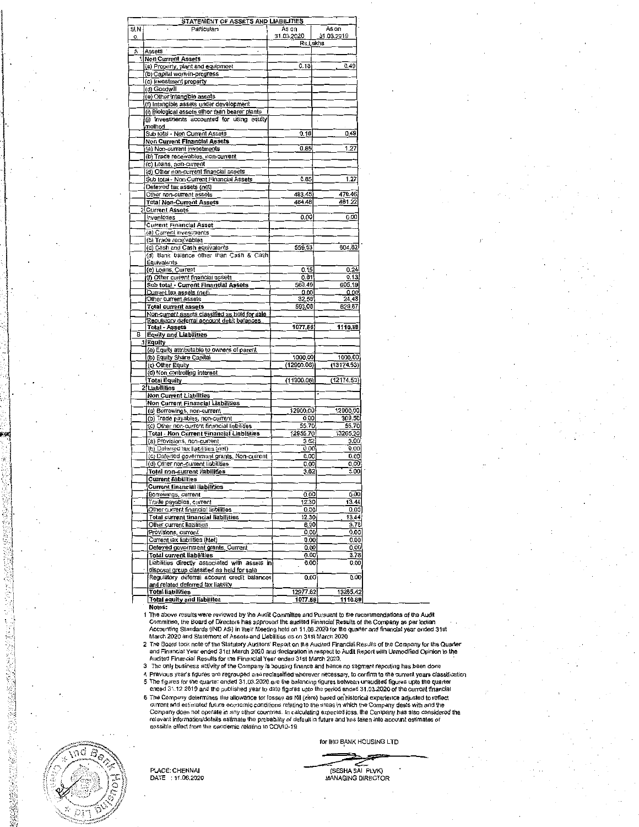| SI.N | <b>STATEMENT OF ASSETS AND LIABILITIES</b><br>Particulars                                       | As on<br>As on   |                  |
|------|-------------------------------------------------------------------------------------------------|------------------|------------------|
| 0.   |                                                                                                 | 31.03.2020       | 31.03.2019       |
|      |                                                                                                 | Rs.Lakhs         |                  |
| А    | Assets                                                                                          |                  |                  |
|      | 1 Non Current Assets                                                                            |                  |                  |
|      | (a) Property, plant and equipment                                                               | 0.18             | 0.49             |
|      | (b) Capital work-in-progress<br>(c) Investment property                                         |                  |                  |
|      | (d) Goodwill                                                                                    |                  |                  |
|      | (e) Other intangible assets                                                                     |                  |                  |
|      | (f) Intangible assets under development                                                         |                  |                  |
|      | (i) Biological assets other than bearer plants                                                  |                  |                  |
|      | (i) investments accounted for using equity                                                      |                  |                  |
|      | method                                                                                          |                  |                  |
|      | Sub total - Non Current Assets                                                                  | 0.18             | 0.49             |
|      | <b>Non Current Financial Assets</b>                                                             |                  |                  |
|      | (a) Non-current investments<br>(b) Trade receivables, non-current                               | 0.85             | 1.27             |
|      | (c) Loans, non-current                                                                          |                  |                  |
|      | (d) Other non-current financial assets                                                          |                  |                  |
|      | Sub total - Non Current Financial Assets                                                        | 0.85             | 1.27             |
|      | Deferred tax assets (net)                                                                       |                  |                  |
|      | Other non-current assets                                                                        | 463.45           | 479.46           |
|      | <b>Total Non-Current Assets</b>                                                                 | 484.48           | 481.22           |
|      | 2 Current Assets                                                                                |                  |                  |
|      | inventories                                                                                     | 0.00             | 0.00             |
|      | <b>Current Financial Asset</b>                                                                  |                  |                  |
|      | (a) Current investments                                                                         |                  |                  |
|      | (b) Trade receivables                                                                           |                  |                  |
|      | (c) Cash and Cash equivalents                                                                   | 559.53           | 604.82           |
|      | (d) Bank balance other than Cash & Cash                                                         |                  |                  |
|      | Equivalents<br>(e) Loans, Current                                                               | 0.15             | 0.24             |
|      | (f) Other current financial assets                                                              | 0.81             | 0.13             |
|      | Sub total - Current Financial Assets                                                            | 560.49           | 605.19           |
|      | Current tax assets (net)                                                                        | 0.00             | 0.00             |
|      | Other current assets                                                                            | 32.59            | 24,48            |
|      | <b>Total current assets</b>                                                                     | 593.08           | 629.67           |
|      | Non-current assets classified as held for sale                                                  |                  |                  |
|      | Requiatory deferral account debit balances                                                      |                  | 1110.89          |
| в    | <b>Total - Assets</b><br><b>Equity and Liabilities</b>                                          | 1077.56          |                  |
|      | 1 Equity!                                                                                       |                  |                  |
|      | (a) Equity attributable to owners of parent                                                     |                  |                  |
|      | (b) Equity Share Capital                                                                        | 1000.00          | 1000.00          |
|      | (c) Other Equity                                                                                | (12900.06)       | (13174.53)       |
|      | (d) Non controlling interest                                                                    |                  |                  |
|      | <b>Total Equity</b>                                                                             | (11900.06)       | (12174.53)       |
|      | 2 Liabilities                                                                                   |                  |                  |
|      | Non Current Liabilities                                                                         |                  |                  |
|      | Non Current Financial Liabilities                                                               |                  |                  |
|      | (a) Borrowings, non-current                                                                     | 12900.00         | 12900.00         |
|      | (b) Trade payables, non-current                                                                 | 0.00             | 309.50           |
|      | (c) Other non-current financial liabilities<br><b>Total - Non Current Financial Liabilities</b> | 55.70            | 5570<br>13265.20 |
|      | (a) Provisions, non-current                                                                     | 12955.70<br>3.62 | 3.00             |
|      | (b) Deferred tax liabilities (nel)                                                              | 0.00             | 0.00             |
|      | (c) Deferred government grants, Non-current                                                     | 0.00             | 0.00             |
|      | (d) Other non-current liabilities                                                               | 0.00             | 0.00             |
|      | <b>Total non-current liabilities</b>                                                            | 3.62             | 3.00             |
|      | <b>Current liabilities</b>                                                                      |                  |                  |
|      | <b>Current financial liabilities</b>                                                            |                  |                  |
|      | Borrowings, current                                                                             | 0.00             | 0.00             |
|      | Trade payables, current                                                                         | 12.30            | 13.44            |
|      | Other current financial liabilities                                                             | 0.00             | 0.00             |
|      | <b>Total current financial liabilities</b>                                                      | 12.30            | 13.44            |
|      | Other current liabilities                                                                       | 6.00             | 3.78             |
|      | Provisions, current                                                                             | 0.00             | 0.00             |
|      | Current tax liabilities (Net)                                                                   | 0.00             | 0.00             |
|      | Deferred government grants, Current                                                             | 0.00             | 0.00             |
|      | <b>Total current liabilities</b>                                                                | 6.00             | 3.78             |
|      | Liabilities directly associated with assets in<br>disposal group classified as held for sale    | 0.00             | 0.00             |
|      | Regulatory deferral account credit balances                                                     | 0.00             | 0.00             |
|      |                                                                                                 |                  |                  |
|      |                                                                                                 |                  |                  |
|      | and related deferred tax liability<br><b>Total liabilities</b>                                  | 12977.62         | 13285.42         |

1 The above results were reviewed by the Audit Committee and Pursuant to the recommendations *at* the Audit

Committee, the Board of the Board of the Board Committee and Pursuant to the recommendations of the Audit วmmittee, the Board of Directors has approved the audited Financial Results of the Company as per Indian<br>:counting Standards (IND AS) in their Meeting held on 11.06.2020 for the quarter and financial year ended 31st<br>arch

Board took note of the Statutory Auditors' Report on the Audited Financial Results of the Company for the Quarter<br>Financial Year ended 31st March 2020 and declaration in respect to Audit Report with Unmodified Opinion to t Audited Financial Results for the Financial Year ended 31st March 2020.

3 The only business activity of the Company is housing finance and hence no segment reporting has been done

evious year's figures are regrouped and reclassified wherever necessary, to confirm to the current years classificati<br>Ie figures for the quarter ended 31.03.2020 are the balancing figures between unaudited figures unto the

ided 31.12.2019 and the published year to date figures upto the period ended 31.03.2020 of the current financial 3 The Company determines lite allowance tor losses as Nil (zero) based on historical experience adjusted to reflect current and estimated future economic conditions relating to the areas in which the Company deals with and the

pany does not operate in any other countries. In calculating expected loss, the Company has also considered.<br>rant information/details estimate the probability of default in future and has taken into account estimates of opssible effect from the pandemic relating to COVID-19.

or IND BANK HOUSING LTD



:..;:::.

i.<br>Co

i<br>A

PLACE: CHENNAI<br>DATE : 11.06.2020

 $\sim$  Second second second second second second second second second second second second second second second second second second second second second second second second second second second second second second second SESHA SAI PLVK) **MANAGING DIRECTOR**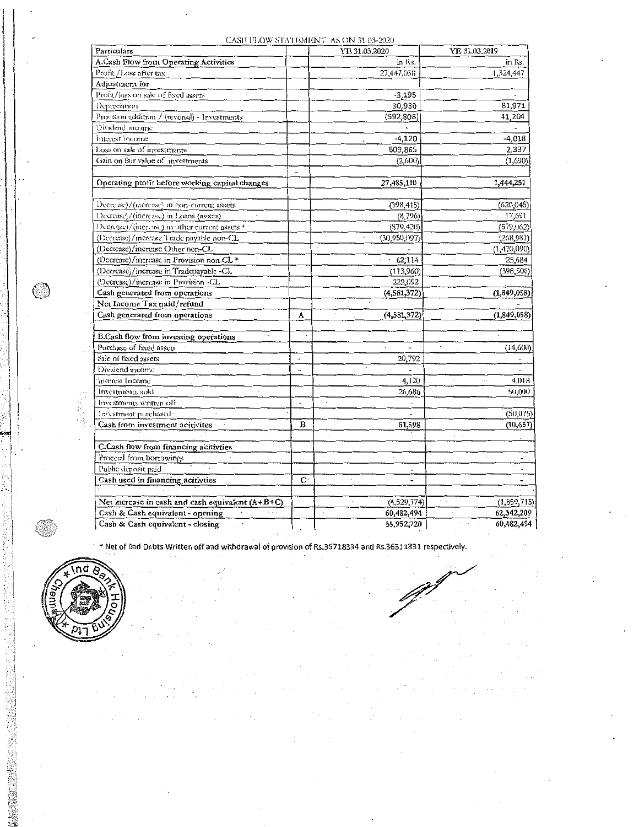| CASH FLOW STATEMENT AS ON 31-03-2020 |  |
|--------------------------------------|--|

| Particulars                                              |              | YE 31.03.2020             | YE 31.03.2019            |
|----------------------------------------------------------|--------------|---------------------------|--------------------------|
| A.Cash Flow from Operating Activities                    |              | in Rs.                    | in Rs.                   |
| Profit / loss after tax                                  |              | 27,447,038                | 1,324,447                |
| Adjustment for                                           |              |                           |                          |
| Profit/loss on sale of fixed assets                      |              | $-3,195$                  | ÷,                       |
| Depreciation                                             |              | 30,930                    | 81,971                   |
| Provision addition / (reversal) - Investments            |              | (592, 808)                | 41,204                   |
| Dividend income                                          |              |                           |                          |
| Interest Income                                          |              | $-4,120$                  | -4,018                   |
| Loss on sale of investments                              |              | 609,865                   | 2,337                    |
| Gain on fair value of investments                        |              | (2,600)                   | (1,690)                  |
|                                                          |              |                           |                          |
| Operating profit before working capital changes          |              | 27,485,110                | 1,444,251                |
| Decrease)/(increase) in non-current assets               |              | (398, 415)                | (620, 045)               |
| Decrease)/(increase) in Loans (assets)                   |              | (8,796)                   | 17,691                   |
| Decrease)/(increase) in other current assets * 1         |              | (879, 420)                | (579,062)                |
| (Decrease)/mcrease Trade payable non-CL                  |              | (30,950,097)              | (268,981)                |
| (Decrease)/increase Other non-CL                         |              |                           | (1,470,090)              |
| (Decrease)/increase in Provision non-CL *                |              | 62,114                    | 25,684                   |
| (Decrease)/increase in Tradepayable -CL                  |              | (113,960)                 | (398,506)                |
| (Decrease)/increase in Provision -CL                     |              | 222,092                   |                          |
| Cash generated from operations                           |              | (4,581,372)               | (1, 849, 058)            |
| Net Income Tax paid/refund                               |              |                           |                          |
| Cash generated from operations                           | A            | (4, 581, 372)             | (1,849,058)              |
| <b>B.Cash flow from investing operations</b><br>$\cdots$ |              |                           |                          |
| Purchase of fixed assets                                 |              | u,                        | (14,600)                 |
| Sale of fixed assets                                     |              | 20,792                    |                          |
| Dividend income                                          | ä,           | $\mathbf{u} = \mathbf{0}$ | $\overline{\phantom{a}}$ |
| Interest Income                                          |              | 4,120                     | 4,018                    |
| Investments sold                                         |              | 26,686                    | 50,000                   |
| Investments written off                                  | ä,           | i,<br>ä,                  |                          |
| Investment purchased                                     |              |                           | (50,075)                 |
| Cash from investment acitivites                          | B            | 51,598                    | (10, 657)                |
| C.Cash flow from financing acitivties                    |              |                           |                          |
| Proceed from borrowings                                  |              |                           | $\cdot$ .                |
| Public deposit paid                                      |              |                           |                          |
|                                                          | $\mathbf{C}$ | $\ddot{\phantom{a}}$      |                          |
| Cash used in financing acitivties                        |              | ÷.                        | $\overline{\phantom{a}}$ |
| Net increase in cash and cash equivalent (A+B+C)         |              | (4,529,774)               | (1,859,715)              |
| Cash & Cash equivalent - opening                         |              | ×,<br>60,482,494          | 62,342,209               |
| Cash & Cash equivalent - closing                         |              | 55,952,720                | 60,482,494               |

\* Net of Bad Debts Written off and withdrawal of provision of Rs.35718334 and HS.36311831 respectively.



\'

ා

'j

I

 $\overline{\phantom{a}}$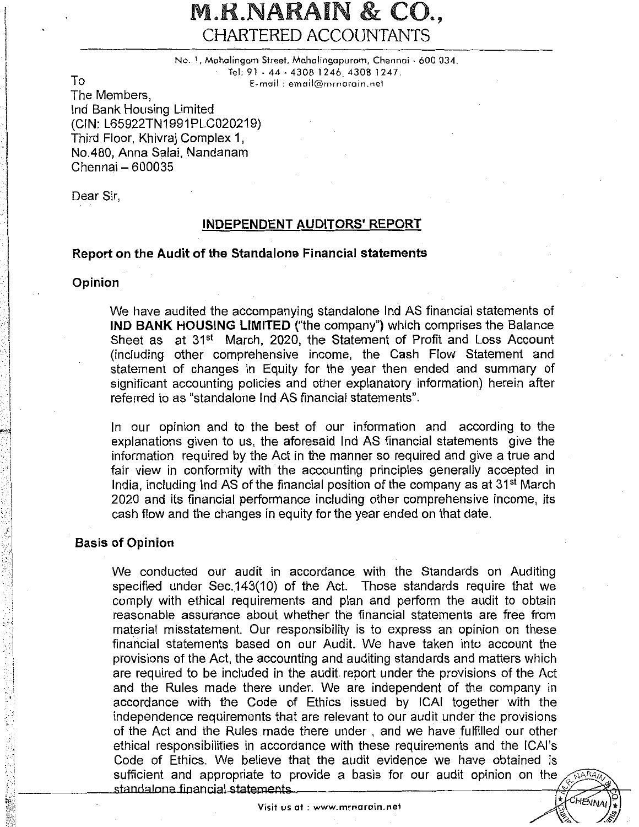# M.R.NARAIN & CO., CHARTERED ACCOUNTANTS

No.1, Moholingam Street, Mahalingapuram, Chennoi - 600 *Os4.* Tel: 91 - 44 - 4308 1246, 4308 1247. To E-mail: email@mrnoroin.net

The Members, Ind Bank Housing Limited (CIN: L65922TN1991 PLC020219) Third Floor, Khivraj Complex 1, No.480, Anna Salai, Nandanam Chennai - 600035

Dear Sir,

 $\mathbf{I}$ 

"':'  $\cdot$ .

> $\mathbb{L}$ ':"·1 ~.' . :

原东 医皮肤皮炎

': ..'

 $1000$  -  $1000$   $\alpha$ 

## INDEPENDENT AUDITORS' REPORT

## Report on the Audit of the Standalone Financial statements

## Opinion

We have audited the accompanying standalone Ind AS financial statements of IND BANK HOUSING LIMITED ("the company") which comprises the Balance Sheet as at *315t* March, 2020, the Statement of Profit and Loss Account (including other comprehensive income, the Cash Flow Statement and statement of changes in Equity for the year then ended and summary of significant accounting policies and other explanatory information) herein after referred to as "standalone Ind AS financial statements".

In our opinion and to the best of our information and according to the explanations given to us, the aforesaid Ind AS financial statements give the information required by the Act in the manner so required and give a true and fair view in conformity with the accounting principles generally accepted in India, including Ind AS of the financial position of the company as at 31st March 2020 and its financial performance including other comprehensive income, its cash flow and the changes in equity for the year ended on that date.

#### Basis of Opinion

We conducted our audit in accordance with the Standards on Auditing specified under Sec.143(10) of the Act. Those standards require that we comply with ethical requirements and plan and perform the audit to obtain reasonable assurance about whether the financial statements are free from material misstatement. Our responsibility is to express an opinion on these financial statements based on our Audit. We have taken into account the provisions of the Act, the accounting and auditing standards and matters which are required to be included in the audit report under the provisions of the Act and the Rules made there under. We are independent of the company in accordance with the Code of Ethics issued by ICAI together with the independence requirements that are relevant to our audit under the provisions of the Act and the Rules made there under , and we have fulfilled our other ethical responsibilities in accordance with these requirements and the ICAI's Code of Ethics. We believe that the audit evidence we have obtained is sufficient and appropriate to provide a basis for our audit opinion on the standalone financial statements.

**CHENN**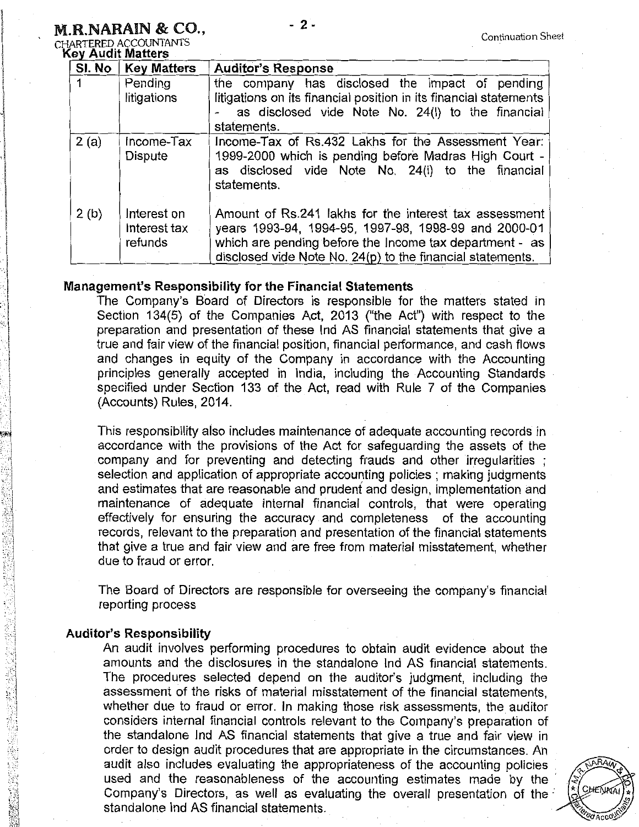HARTERED ACCOUNTANTS

~'.

'.,'

| <b>ILCA MAMILIMALICIS</b> |                                        |                                                                                                                                                                                                                                         |  |  |  |  |
|---------------------------|----------------------------------------|-----------------------------------------------------------------------------------------------------------------------------------------------------------------------------------------------------------------------------------------|--|--|--|--|
| SI. No                    | <b>Key Matters</b>                     | <b>Auditor's Response</b>                                                                                                                                                                                                               |  |  |  |  |
|                           | Pending<br>litigations                 | the company has disclosed the impact of pending<br>litigations on its financial position in its financial statements<br>as disclosed vide Note No. 24(I) to the financial<br>statements.                                                |  |  |  |  |
| 2(a)                      | Income-Tax<br><b>Dispute</b>           | Income-Tax of Rs.432 Lakhs for the Assessment Year:<br>1999-2000 which is pending before Madras High Court -<br>as disclosed vide Note No. 24(i) to the financial<br>statements.                                                        |  |  |  |  |
| 2(b)                      | Interest on<br>Interest tax<br>refunds | Amount of Rs.241 lakhs for the interest tax assessment<br>years 1993-94, 1994-95, 1997-98, 1998-99 and 2000-01<br>which are pending before the Income tax department - as<br>disclosed vide Note No. 24(p) to the financial statements. |  |  |  |  |

## Management's Responsibility for the Financial Statements

The Company's Board of Directors is responsible for the matters stated in Section 134(5) of the Companies Act, 2013 ("the Act") with respect to the preparation and presentation of these Ind AS financial statements that give a true and fair view of the financial position, financial performance, and cash flows and changes in equity of the Company in accordance with the Accounting principles generally accepted in India, including the Accounting Standards specified under Section 133 of the. Act, read with Rule 7 of the Companies (Accounts) Rules, 2014. .

This responsibility also includes maintenance of adequate accounting records in accordance with the provisions of the Act for safeguarding the assets of the company and for preventing and detecting frauds and other irrequiarities ; selection and application of appropriate accounting policies; making judgments and estimates that are reasonable and prudent and design, implementation and maintenance of adequate internal financial controls, that were operating effectively for ensuring the accuracy. and completeness of the accounting records, relevant to the preparation and presentation of the financial statements that give a true and fair view and are free from material misstatement, whether due to fraud or error.

The Board of Directors are responsible for overseeing the company's financial reporting process

## Auditor's Responsibility

An audit involves performing procedures to obtain audit evidence about the amounts and the disclosures in the standalone lnd AS financial statements. The procedures selected depend on the auditor's judgment, including the . assessment of the risks of material misstatement of the financial statements, whether due to fraud or error. In making those risk assessments, the auditor considers internal financial controls relevant to the Company's preparation of the standalone Ind AS financial statements that give a true and fair view in order to design audit procedures that are appropriate in the circumstances. An audit also includes evaluating the appropriateness of the accounting policies used and the reasonableness of the accounting estimates made by the ' company's Directors, as well as evaluating the overall presentation of the: ompany's Directors, as well as evalu-<br>ondelone lod AS financial statements.

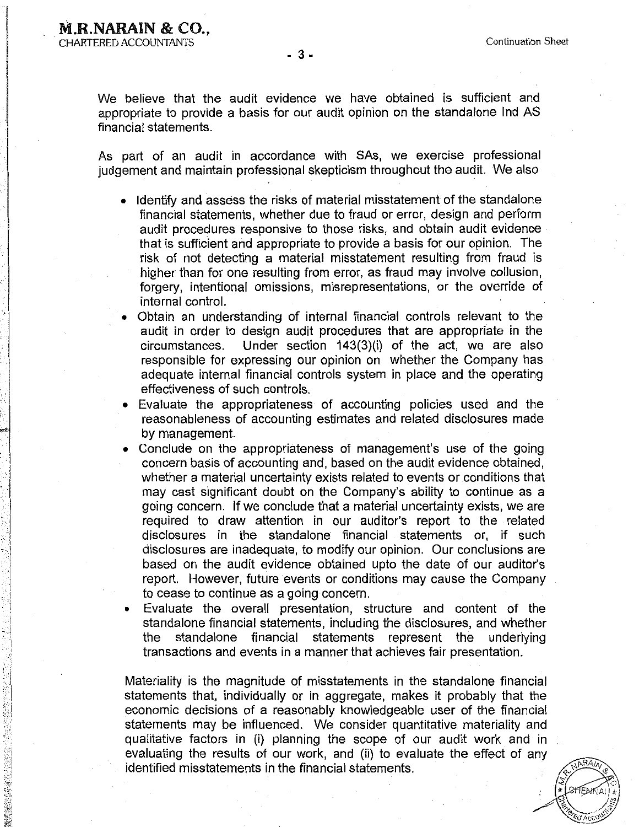~:

「このことの人があります」ということになっています。 このことには、このことには、このことには、このことには、このことには、このことには、このことには、このことには、このことには、このことには、このこ

We believe that the audit evidence we have obtained is sufficient and appropriate to provide a basis for our audit opinion on the standalone Ind AS financial statements.

As part of an audit in accordance with SAs, we exercise professional judgement and maintain professional skepticism throughout the audit. We also

- Identify and assess the risks of material misstatement of the standalone financial statements, whether due to fraud or error, design and perform audit procedures responsive to those risks, and obtain audit evidence that is sufficient and appropriate to provide a basis for our opinion. The risk of not detecting a material misstatement resulting from fraud is higher than for one resulting from error, as fraud may involve collusion, forgery, intentional omissions, misrepresentations, or the override of internal control.
- Obtain an understanding of internal financial controls relevant to the audit in order to design audit procedures that are appropriate in the circumstances. Under section 143(3)(i) of the act, we are also responsible for expressing our opinion on whether the Company has adequate internal financial controls system in place and the operating effectiveness of such controls. .
- Evaluate the appropriateness of accounting policies used and the reasonableness of accounting estimates and related disclosures made by management.
- Conclude on the appropriateness of management's use of the going concern basis of accounting and, based on the audit evidence obtained, whether a material uncertainty exists related to events or conditions that may cast significant doubt on the Company's ability to continue as a going concern. **If** we conclude that a material uncertainty exists, we are required to draw attention in our auditor's report to the related disclosures in the standalone financial. statements or, if such disclosures are inadequate, to modify our opinion. Our conclusions are based on the audit evidence obtained upto the date of our auditor's report. However, future events or conditions may cause the Company to cease to continue as a going concern,
- Evaluate the overall presentation, structure and content of the standalone financial statements, including the disclosures, and whether the standalone financial statements represent the underlying transactions and events in a manner that achieves fair presentation,

Materiality is the magnitude of misstatements in the standalone financial statements that, individually or in aggregate, makes it probably that the economic decisions of a reasonably knowledgeable user of the financial statements may be influenced, We consider quantitative materiality and qualitative factors in (i) planning the scope of our audit work and in evaluating the results of our work, and (ii) to evaluate the effect of any identified misstatements in the financial statements. .

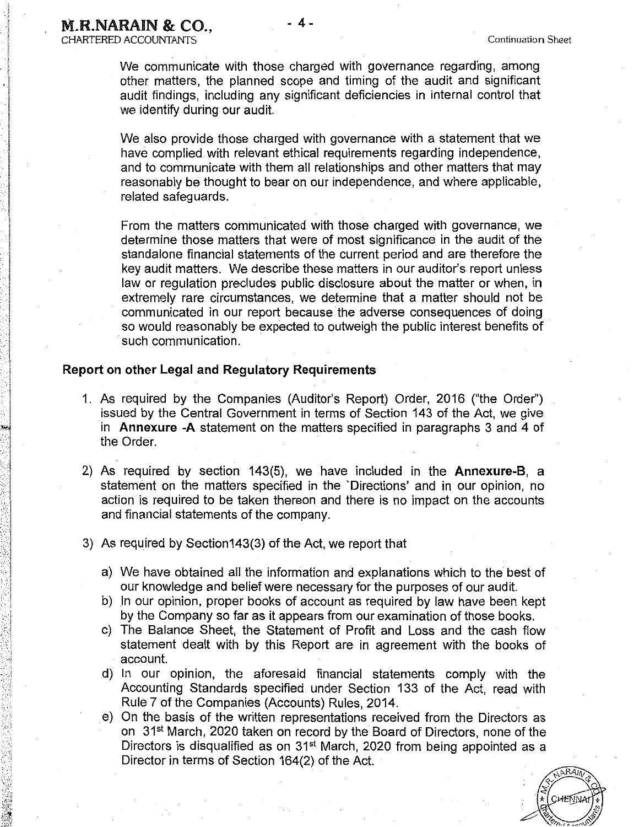$\cdot$  .

We communicate with those charged with governance regarding, among other matters, the planned scope and timing of the audit and significant audit findings, including any significant deficiencies in internal control that we identify during our audit.

We also provide those charged with governance with a statement that we have complied with relevant ethical requirements regarding independence, and to communicate with them all relationships and other matters that may reasonably be thought to bear on our independence, and where applicable, related safeguards.

From the matters communicated with those charged with governance, we determine those matters that were of most significance in the audit of the standalone financial statements of the current period and are therefore the key audit matters. We describe these matters in our auditor's. report unless law or regulation precludes public disclosure about the matter or when, in extremely rare circumstances, we determine that a matter should not be communicated in our report because the adverse consequences of doing so would reasonably be expected to outweigh the public interest benefits of .such communication.

#### Report on other Legal and Regulatory Requirements

- 1. As required by the Companies (Auditor's Report) Order, 2016 ("the Order") issued by the Central Government in terms of Section 143 of the Act, we give in Annexure -A statement on the matters specified in paragraphs 3 and 4 of the Order. .
- 2) As required by section 143(5), we have included in the Annexure-B, a statement on the matters specified in the 'Directions' and in our opinion, no action is required to be taken thereon and there is no impact on the accounts and financial statements of the company.
- 3) As required by Section143(3) of the Act, we report that
	- a) We have obtained all the information and explanations which to the best of our knowledge and belief were necessary for the purposes of our audit.
	- b) In our opinion, proper books of account as required by law have been kept by the Company so far as it appears from our examination of those books.
	- c) The Balance Sheet, the Statement of Profit and Loss and the cash flow statement dealt with by this Report are in agreement with the books of account.
	- d) In our opinion, the aforesaid financial statements comply with the Accounting Standards specified under Section 133 of the Act, read with Rule 7 of the Companies (Accounts) Rules, 2014.
	- e) On the basis of the written representations received from the Directors as on 31st March, 2020 taken on record by the Board of Directors, none of the Directors is disqualified as on 31<sup>st</sup> March, 2020 from being appointed as a Director in terms of Section 164(2) of the Act.

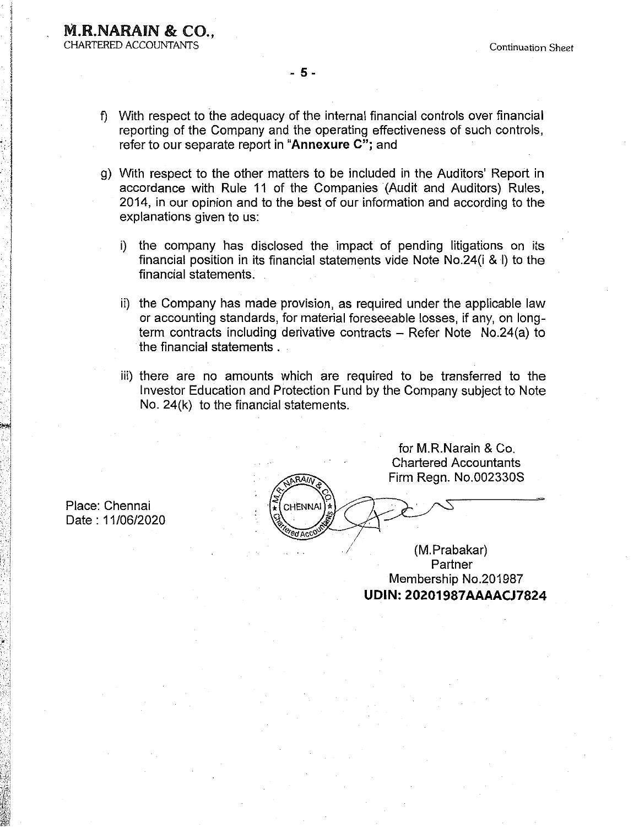- f) With respect to the adequacy of the internal financial controls over financial reporting of the Company and the operating effectiveness of such controls, refer to our separate report in **"Annexure** C"; and
- g) With respect to the other matters to be included in the Auditors' Report in accordance with Rule 11 of the Companies (Audit and Auditors) Rules, 2014, in our opinion and to the best of our information and according to the explanations given to us:
	- i) the company has disclosed the impact of pending litigations on its financial position in its financial statements vide Note No.24(i & I) to the financial statements. .
	- ii) the Company has made provision, as required under the applicable law or accounting standards, for material foreseeable losses, if any, on longterm contracts including derivative contracts  $-$  Refer Note No.24(a) to the financial statements.
	- iii) there are no amounts which are required to be transferred to the Investor Education and Protection Fund by the Company subject to Note No. 24(k) to the financial statements.

Chartered Accountants Firm Regn. No.002330S **RAI CHENNA** (M.Prabakar)

Place: Chennai Date : *11/06/2020*

**M.R.NARAIN &** CO.,

., .

**Partner** Membership No.201987 **UDIN: 20201987AAAACJ7824**

for M.R.Narain & Co.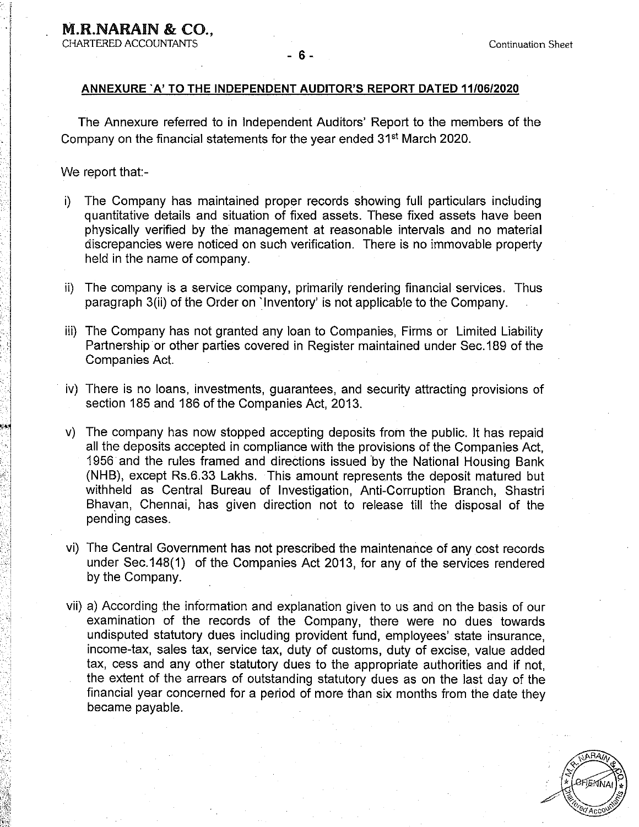#### **ANNEXURE** 'A' **TO THE INDEPENDENT AUDITOR'S REPORT DATED** *11/06/2020*

The Annexure referred to in Independent Auditors' Report to the members of the Company on the financial statements for the year ended 31st March 2020.

We report that:-

 $\mathbb{R}^2$ 

- i) The Company has maintained proper records showing full particulars including quantitative details and situation of fixed assets. These fixed assets have been physically verified by the management at reasonable intervals and no material discrepancies were noticed on such verification. There is no immovable property held in the name of company.
- ii) The company is a service company, primarily rendering financial services. Thus paragraph 3(ii) of the Order on' Inventory' is not applicable to the Company.
- iii) The Company has not granted any loan to Companies, Firms or Limited Liability Partnership or other parties covered in Register maintained under Sec.189 of the Companies Act.
- iv) There is no loans, investments, guarantees, and security attracting provisions of section 185 and 186 of the Companies Act, 2013.
- v) The company has now stopped accepting deposits from the public. It has repaid all the deposits accepted in compliance with the provisions of the Companies Act, 1956 and the rules framed and directions issued by the National Housing Bank (NHB), except RS.6.33 Lakhs. This amount represents the deposit matured but withheld as Central Bureau of Investigation, Anti-Corruption Branch, Shastri Bhavan, Chennai, has given direction not to release till the disposal of the pending cases.
- vi) The Central Government has not prescribed the maintenance of any cost records under Sec.148(1) of the Companies Act 2013, for any of the services rendered by the Company.
- vii) a) According the information and explanation given to us and on the basis of our examination of the records of the Company, there were no dues towards undisputed statutory dues including provident fund, employees' state insurance, income-tax, sales tax, service tax, duty of customs, duty of excise, value added tax, cess and any other statutory dues to the appropriate authorities and if not, the extent of the arrears of outstanding statutory dues as on the last day of the financial year concerned for a period of more than six months from the date they became payable.

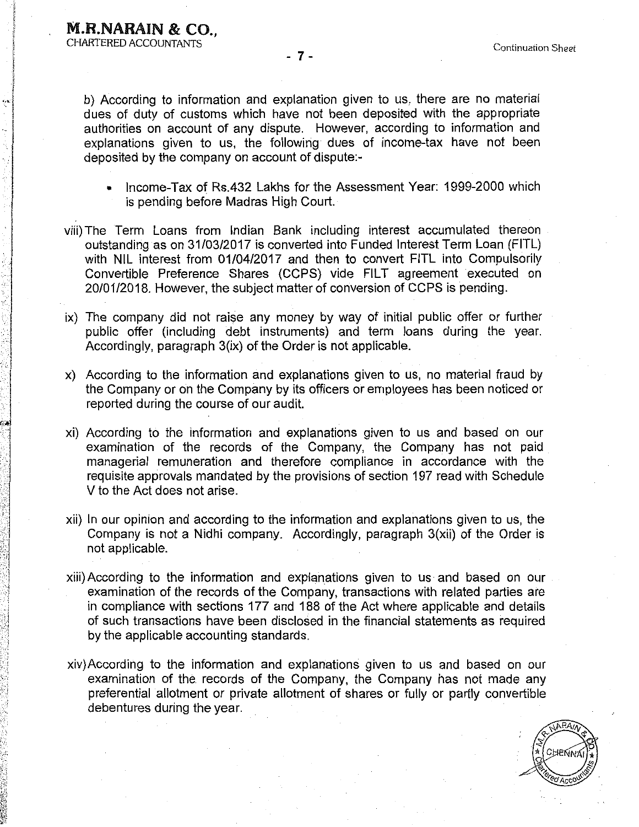,! , !

···1-, '. i

b) According to information and explanation given to us, there are no material dues of duty of customs which have not been deposited with the appropriate authorities on account of any dispute. However, according to information and explanations given to us, the following dues of income-tax have not been deposited by the company on account of dispute:-

- Income-Tax of Rs,432 Lakhs for the Assessment Year: 1999-2000 which is pending before Madras High Court.
- viii) The Term Loans from Indian Bank including interest accumulated thereon outstanding as on 31/03/2017 is converted into Funded Interest Term Loan (FITL) with NIL interest from *01/04/2017* and then to convert FITL into Compulsorily Convertible Preference Shares (CCPS) vide FILT agreement executed on *20/01/2018.* However, the subject matter of conversion of CCPS is pending.
- ix) The company did not raise any money by way of initial public offer or further public offer (including debt instruments) and term loans during the year. Accordingly, paragraph 3(ix) of the Order is not applicable.
- x) According to the information and explanations given to us, no material fraud by the Company or on the Company by its officers or employees has been noticed or reported during the course of our audit.
- xi) According to the information and explanations given to us and based on our examination of the records of the Company, the Company has not paid managerial remuneration and therefore compliance in accordance with the requisite approvals mandated by the provisions of section 197 read with Schedule V to the Act does not arise.
- xii) In our opinion and according to the information and explanations given to us, the Company is not a Nidhi company. Accordingly, paragraph 3(xii) of the Order is not applicable.
- xiii)According to the information and explanations given to us and based on our examination of the records of the Company, transactions with related parties are in compliance with sections 177 and 188 of the Act where applicable and details of such transactions have been disclosed in the financial statements as required by the applicable accounting standards.
- xiv)According to the information and explanations given to us and based on our examination of the, records of the Company, the Company has not made any preferential allotment or private allotment of shares or fully or partly convertible debentures during the year.

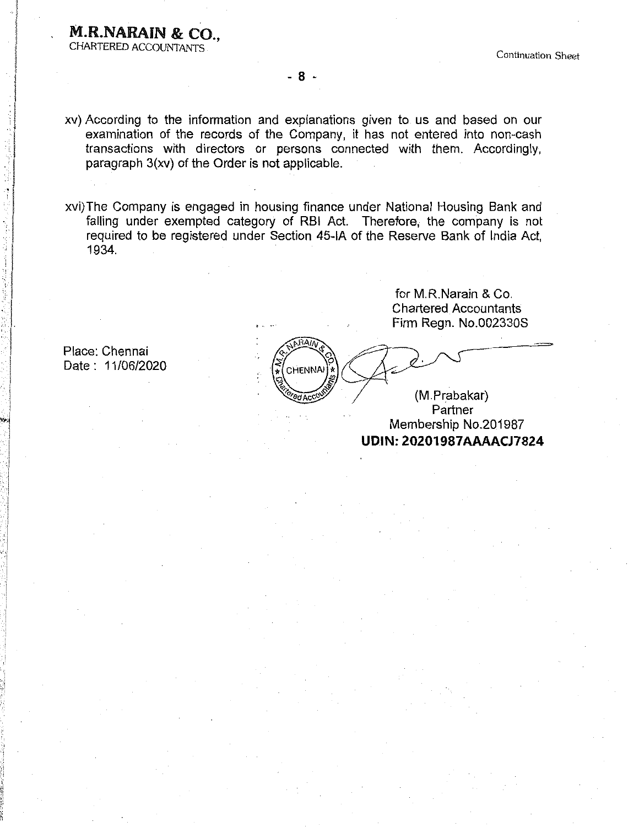M.R.NARAIN & CO., CHARTERED ACCOUNTANTS

- 1

 $\;$ 

- 8 -

- xv) According to the information and explanations given to us and based on our examination of the records of the Company, it has not entered into non-cash transactions with directors or persons connected with them. Accordingly, paragraph 3(xv) of the Order is not applicable.
- xvi)The Company is engaged in housing finance under National Housing Bank and falling under exempted category of RBI Act. Therefore, the company is not required to be registered under Section 45-IA of the Reserve Bank of India Act, 1934.

for M.R.Narain & Co. **Chartered Accountants** Firm Regn. NO.002330S

Place: Chennai Date: *11/06/2020*

 $-$ **CHENN** (M.Prabakar)

Partner Membership NO.2019B? **UDIN: 20201987 AAAACJ7824**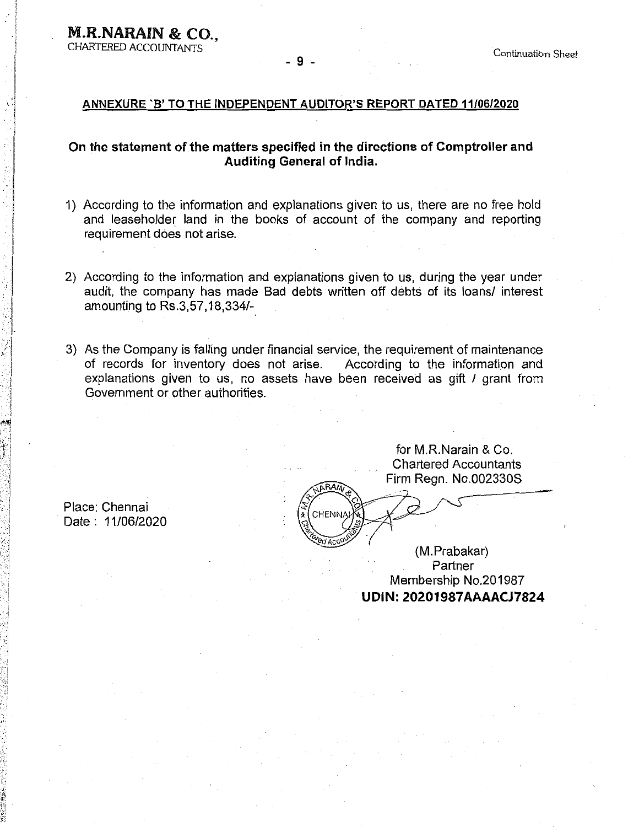## **ANNEXURE** '8' **TO THE INDEPENDENT AUDITOR'S REPORT DATED** *11/06/2020*

# **On the statement** of the **matters specified in the directions of Comptroller and Auditing General of India.**

- . 1) According to the information and explanations given to us, there are no free hold and leaseholder land in the books of account of the company and reporting requirement does not arise.
- 2) According to the information and explanations given to us, during the year under audit, the company has made Bad debts written off debts of its loans/ interest amounting to Rs.3,57,18,334/-
- 3) As the Company is falling under financial service, the requirement of maintenance of records for inventory does not arise. According to the information and explanations given to us, no assets have been received as gift *1* grant from Government or other authorities.

for M.R.Narain & Co. Chartered Accountants Firm Regn. NO.002330S

Place: Chennai Date: *11/06/2020*

:',

 $\mathbf{r}$  $\cdot$ 

~.*-, r-.»* ".:

CHENI (M.Prabakar)

**Partner** Membership No.201987 **UDIN: 20201987 AAAACJ7824**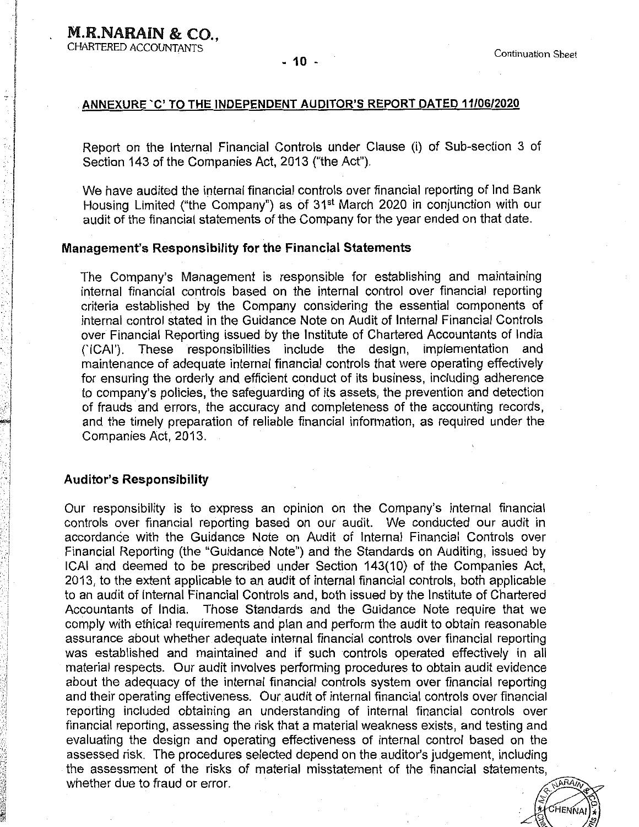$\mathcal{R}$  , and the set

 $\ddot{z}$ 

*.:*

I

CHENNA

#### .ANNEXURE 'C' TO THE INDEPENDENT AUDITOR'S REPORT DATED *11/06/2020*

- 10 -

Report on the Internal Financial Controls under Clause (i) of Sub-section 3 of Section 143 of the Companies Act, 2013 ("the Act").

. We have audited the internal financial controls over financial reporting of Ind Bank Housing Limited ("the Company") as of 31st March 2020 in conjunction with our audit of the financial statements of the Company for the year ended on that date.

#### Management's Responsibility for the Financial Statements

The Company's Management is responsible for establishing and maintaining internal financial controls based on the internal control over financial reporting criteria established by the Company considering the essential components of internal control stated in the Guidance Note on Audit of Internal Financial Controls over Financial Reporting issued by the Institute of Chartered Accountants of India CICAI'). These responsibilities include the design, implementation and maintenance of adequate internal financial controls that were operating effectively for ensuring the orderly and efficient conduct of its business, including adherence to company's policies, the safeguarding of its assets, the prevention and detection of frauds and errors, the accuracy and completeness of the accounting records, and the timely preparation of reliable financial information, as required under the Companies Act, 2013.

#### Auditor's Responsibility

Our responsibility is to express an opinion on the Company's internal financial controls over financial reporting based on our audit. We conducted our audit in accordance with the Guidance Note on Audit of Internal Financial Controls over Financial Reporting (the "Guidance Note") and the Standards on Auditing, issued by . ICAI and deemed to be prescribed under Section 143(10) of the Companies Act, 2013, to the extent applicable to an audit of internal financial controls, both applicable to an audit of Internal Financial Controls and, both issued by the Institute of Chartered Accountants of India. Those Standards and the Guidance Note require that we comply with ethical requirements and plan and perform the audit to obtain reasonable assurance about whether adequate internal financial controls over financial reporting was established and maintained and if such controls operated effectively in all material respects. Our audit involves performing procedures to obtain audit evidence about the adequacy of the internal financial controls system over financial reporting and their operating effectiveness. Our audit of internal financial controls over financial reporting included obtaining an understanding of internal financial. controls over financial reporting. assessing the risk that a material weakness exists, and testing and evaluating the design and operating effectiveness of internal control based on the assessed risk. The procedures selected depend on the auditor's judgement, including the assessment of the risks of material misstatement of the financial statements, whether due to fraud or error.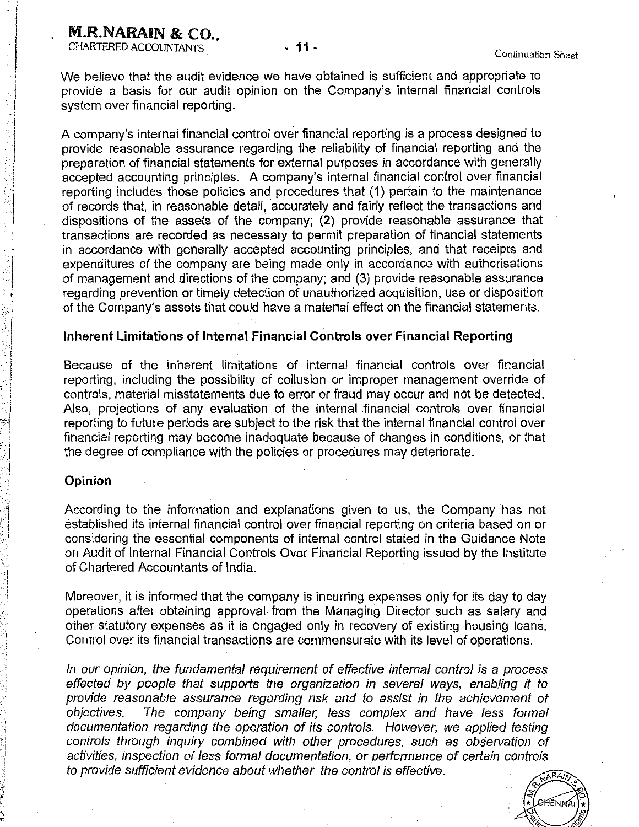We believe that the audit evidence we have obtained is sufficient and appropriate to provide a basis for our audit opinion on the Company's internal financial controls system over financial reporting.

A company's internal financial control over financial reporting is a process designed to provide reasonable assurance regarding the reliability of financial reporting and the preparation of financial statements for external purposes in accordance with generally accepted accounting principles. A company's internal financial control over financial reporting includes those policies and procedures that (1) pertain to the maintenance of records that, in reasonable detail, accurately and fairly reflect the transactions and dispositions of the assets of the company; (2) provide reasonable assurance that transactions are recorded as necessary to permit preparation of financial statements in accordance with generally accepted accounting principles, and that receipts and expenditures of the company are being made only in accordance with authorisations of management and directions of the company; and (3) provide reasonable assurance regarding prevention or timely detection of unauthorized acquisition, use or disposition of the Company's assets that could have a material effect on the financial statements.

## **Inherent Limitations of Internal Financial Controls over Financial Reporting**

Because of the inherent limitations of internal financial controls over financial reporting, including the possibility of collusion or improper management override of controls, material misstatements due to error or fraud may occur and not be detected. Also, projections of any evaluation of the internal financial controls over financial reporting to future periods are subject to the risk that the internal financial control over financial reporting may become inadequate because of changes in conditions, or that the degree of compliance with the policies or procedures may deteriorate.

## **Opinion**

 $\cdot$   $\cdot$ 

:.;. *.,i"*

'" ','.

According to the information and explanations given to us, the Company has not established its internal financial control over financial reporting on criteria based on or considering the essential components of internal control stated in the Guidance Note on Audit of Internal Financial Controls Over Financial Reporting issued by the Institute of Chartered Accountants of India.

Moreover, it is informed that the company is incurring expenses only for its day to day operations after obtaining approval from the Managing Director such as salary and other statutory expenses as it is engaged only in recovery of existing housing loans. Control over its financial transactions are commensurate with its level of operations.

*In our opinion, the fundamental requirement of effective internal control is* a *process effected by people that supports the organization in several ways, enabling it to provide reasonable assurance regarding risk and to assist in the achievement* of *objectives. The company being smaller, less complex and have less formal documentation regarding the operation of its controls. However,* we *applied testing controls through inquiry combined with other procedures, such* as *observation* of *activities, inspection* of *Jessformal documentation, or performance of certain controls to provide sufficient evidence about whether the control is effective.*

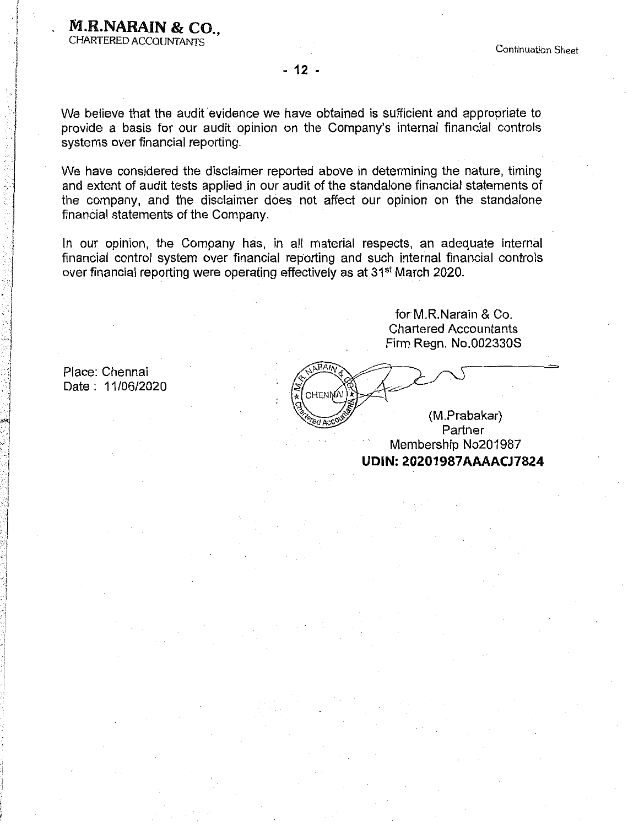We believe that the audit evidence we have obtained is sufficient and appropriate to provide a basis for our audit opinion on the Company's internal financial controls systems over financial reporting.

We have considered the disclaimer reported above in determining the nature, timing and extent of audit tests applied in our audit of the standalone financial statements of the company, and the disclaimer does not affect our opinion on the standalone financial statements of the Company.

In our opinion, the Company has, in all material respects, an adequate internal financial control system over financial reportinq and such internal financial controls over financial reporting were operating effectively as at 31st March 2020.

> for M.R.Narain & Co. Chartered Accountants Firm Regn. NO.002330S

Place: Chennai Date: *11/06/2020*

**M.R.NARAIN &** CO., CHARTERED ACCOUNTANTS

:.j

 $\mathbf{I}$ 

 $\cdot$   $\cdot$ :, .

**CHENN** 

(M.Prabakar) Partner Membership N0201987 **UDIN: 20201987 AAAACJ7824**